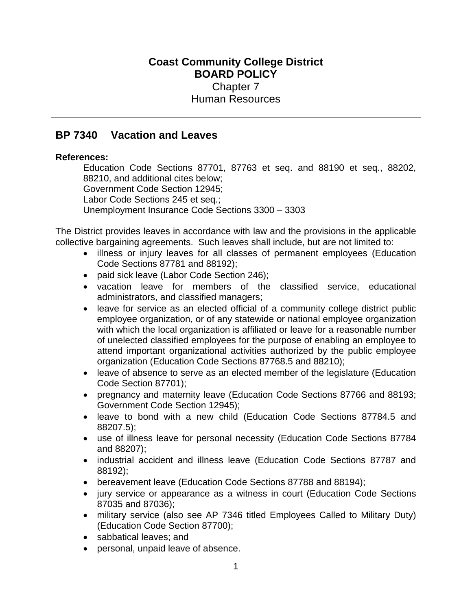# **Coast Community College District BOARD POLICY** Chapter 7 Human Resources

# **BP 7340 Vacation and Leaves**

# **References:**

Education Code Sections 87701, 87763 et seq. and 88190 et seq., 88202, 88210, and additional cites below; Government Code Section 12945; Labor Code Sections 245 et seq.; Unemployment Insurance Code Sections 3300 – 3303

The District provides leaves in accordance with law and the provisions in the applicable collective bargaining agreements. Such leaves shall include, but are not limited to:

- illness or injury leaves for all classes of permanent employees (Education Code Sections 87781 and 88192);
- paid sick leave (Labor Code Section 246);
- vacation leave for members of the classified service, educational administrators, and classified managers;
- leave for service as an elected official of a community college district public employee organization, or of any statewide or national employee organization with which the local organization is affiliated or leave for a reasonable number of unelected classified employees for the purpose of enabling an employee to attend important organizational activities authorized by the public employee organization (Education Code Sections 87768.5 and 88210);
- leave of absence to serve as an elected member of the legislature (Education Code Section 87701);
- pregnancy and maternity leave (Education Code Sections 87766 and 88193; Government Code Section 12945);
- leave to bond with a new child (Education Code Sections 87784.5 and 88207.5);
- use of illness leave for personal necessity (Education Code Sections 87784 and 88207);
- industrial accident and illness leave (Education Code Sections 87787 and 88192);
- bereavement leave (Education Code Sections 87788 and 88194);
- jury service or appearance as a witness in court (Education Code Sections 87035 and 87036);
- military service (also see AP 7346 titled Employees Called to Military Duty) (Education Code Section 87700);
- sabbatical leaves; and
- personal, unpaid leave of absence.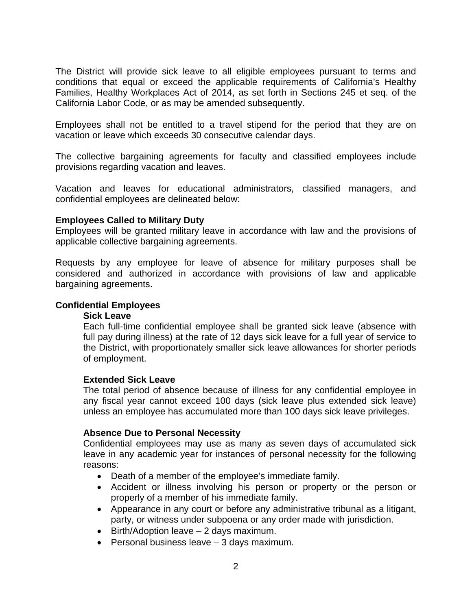The District will provide sick leave to all eligible employees pursuant to terms and conditions that equal or exceed the applicable requirements of California's Healthy Families, Healthy Workplaces Act of 2014, as set forth in Sections 245 et seq. of the California Labor Code, or as may be amended subsequently.

Employees shall not be entitled to a travel stipend for the period that they are on vacation or leave which exceeds 30 consecutive calendar days.

The collective bargaining agreements for faculty and classified employees include provisions regarding vacation and leaves.

Vacation and leaves for educational administrators, classified managers, and confidential employees are delineated below:

## **Employees Called to Military Duty**

Employees will be granted military leave in accordance with law and the provisions of applicable collective bargaining agreements.

Requests by any employee for leave of absence for military purposes shall be considered and authorized in accordance with provisions of law and applicable bargaining agreements.

## **Confidential Employees**

## **Sick Leave**

Each full-time confidential employee shall be granted sick leave (absence with full pay during illness) at the rate of 12 days sick leave for a full year of service to the District, with proportionately smaller sick leave allowances for shorter periods of employment.

## **Extended Sick Leave**

The total period of absence because of illness for any confidential employee in any fiscal year cannot exceed 100 days (sick leave plus extended sick leave) unless an employee has accumulated more than 100 days sick leave privileges.

## **Absence Due to Personal Necessity**

Confidential employees may use as many as seven days of accumulated sick leave in any academic year for instances of personal necessity for the following reasons:

- Death of a member of the employee's immediate family.
- Accident or illness involving his person or property or the person or properly of a member of his immediate family.
- Appearance in any court or before any administrative tribunal as a litigant, party, or witness under subpoena or any order made with jurisdiction.
- $\bullet$  Birth/Adoption leave  $-2$  days maximum.
- $\bullet$  Personal business leave  $-3$  days maximum.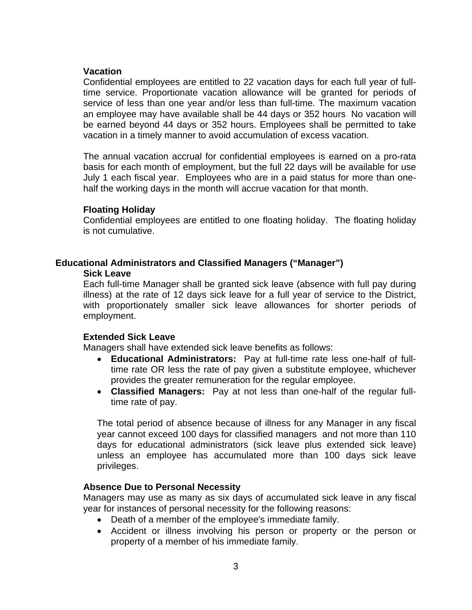## **Vacation**

Confidential employees are entitled to 22 vacation days for each full year of fulltime service. Proportionate vacation allowance will be granted for periods of service of less than one year and/or less than full-time. The maximum vacation an employee may have available shall be 44 days or 352 hours. No vacation will be earned beyond 44 days or 352 hours. Employees shall be permitted to take vacation in a timely manner to avoid accumulation of excess vacation.

The annual vacation accrual for confidential employees is earned on a pro-rata basis for each month of employment, but the full 22 days will be available for use July 1 each fiscal year. Employees who are in a paid status for more than onehalf the working days in the month will accrue vacation for that month.

## **Floating Holiday**

Confidential employees are entitled to one floating holiday. The floating holiday is not cumulative.

# **Educational Administrators and Classified Managers ("Manager")**

#### **Sick Leave**

Each full-time Manager shall be granted sick leave (absence with full pay during illness) at the rate of 12 days sick leave for a full year of service to the District, with proportionately smaller sick leave allowances for shorter periods of employment.

# **Extended Sick Leave**

Managers shall have extended sick leave benefits as follows:

- **Educational Administrators:** Pay at full-time rate less one-half of fulltime rate OR less the rate of pay given a substitute employee, whichever provides the greater remuneration for the regular employee.
- **Classified Managers:** Pay at not less than one-half of the regular fulltime rate of pay.

The total period of absence because of illness for any Manager in any fiscal year cannot exceed 100 days for classified managers and not more than 110 days for educational administrators (sick leave plus extended sick leave) unless an employee has accumulated more than 100 days sick leave privileges.

# **Absence Due to Personal Necessity**

Managers may use as many as six days of accumulated sick leave in any fiscal year for instances of personal necessity for the following reasons:

- Death of a member of the employee's immediate family.
- Accident or illness involving his person or property or the person or property of a member of his immediate family.